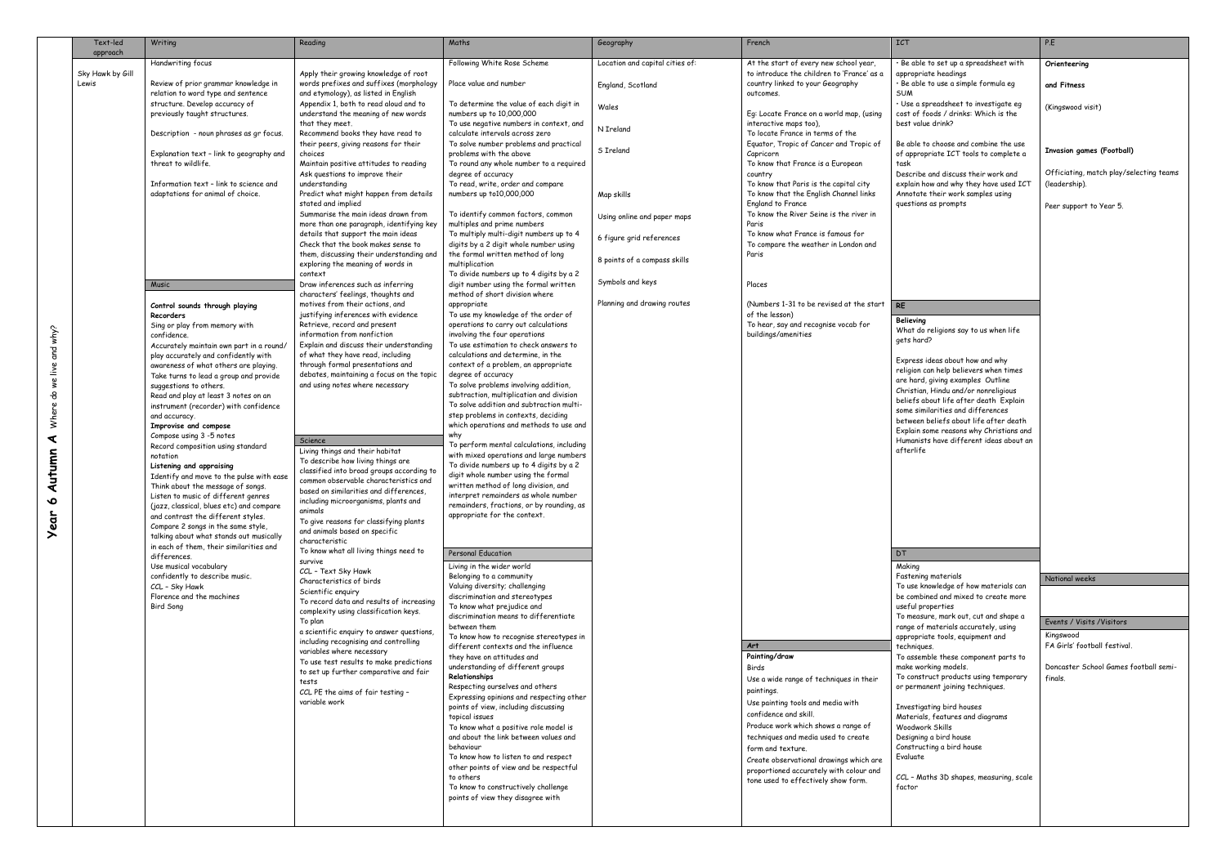|                  | Text-led<br>approach | Writing                                                                            | Reading                                                                                                                  | Maths                                                                                                              | Geography                       | French                                                                                      | <b>ICT</b>                                                                                                          | P.E                                              |
|------------------|----------------------|------------------------------------------------------------------------------------|--------------------------------------------------------------------------------------------------------------------------|--------------------------------------------------------------------------------------------------------------------|---------------------------------|---------------------------------------------------------------------------------------------|---------------------------------------------------------------------------------------------------------------------|--------------------------------------------------|
|                  | Sky Hawk by Gill     | Handwriting focus                                                                  |                                                                                                                          | Following White Rose Scheme                                                                                        | Location and capital cities of: | At the start of every new school year,                                                      | · Be able to set up a spreadsheet with                                                                              | Orienteering                                     |
|                  | Lewis                | Review of prior grammar knowledge in<br>relation to word type and sentence         | Apply their growing knowledge of root<br>words prefixes and suffixes (morphology<br>and etymology), as listed in English | Place value and number                                                                                             | England, Scotland               | to introduce the children to 'France' as a<br>country linked to your Geography<br>outcomes. | appropriate headings<br>· Be able to use a simple formula eg<br>SUM                                                 | and Fitness                                      |
|                  |                      | structure. Develop accuracy of<br>previously taught structures.                    | Appendix 1, both to read aloud and to<br>understand the meaning of new words                                             | To determine the value of each digit in<br>numbers up to 10,000,000                                                | Wales                           | Eg: Locate France on a world map, (using                                                    | · Use a spreadsheet to investigate eg<br>cost of foods / drinks: Which is the                                       | (Kingswood visit)                                |
|                  |                      | Description - noun phrases as gr focus.                                            | that they meet.<br>Recommend books they have read to                                                                     | To use negative numbers in context, and<br>calculate intervals across zero                                         | N Ireland                       | interactive maps too),<br>To locate France in terms of the                                  | best value drink?                                                                                                   |                                                  |
|                  |                      | Explanation text - link to geography and                                           | their peers, giving reasons for their<br>choices                                                                         | To solve number problems and practical<br>problems with the above                                                  | S Ireland                       | Equator, Tropic of Cancer and Tropic of<br>Capricorn                                        | Be able to choose and combine the use<br>of appropriate ICT tools to complete a                                     | <b>Invasion games (Football)</b>                 |
|                  |                      | threat to wildlife.<br>Information text - link to science and                      | Maintain positive attitudes to reading<br>Ask questions to improve their<br>understanding                                | To round any whole number to a required<br>degree of accuracy<br>To read, write, order and compare                 |                                 | To know that France is a European<br>country<br>To know that Paris is the capital city      | task<br>Describe and discuss their work and<br>explain how and why they have used ICT                               | Officiating, match play/selecting teams          |
|                  |                      | adaptations for animal of choice.                                                  | Predict what might happen from details<br>stated and implied                                                             | numbers up to10,000,000                                                                                            | Map skills                      | To know that the English Channel links<br><b>England to France</b>                          | Annotate their work samples using<br>questions as prompts                                                           | (leadership).<br>Peer support to Year 5.         |
|                  |                      |                                                                                    | Summarise the main ideas drawn from<br>more than one paragraph, identifying key                                          | To identify common factors, common<br>multiples and prime numbers                                                  | Using online and paper maps     | To know the River Seine is the river in<br>Paris                                            |                                                                                                                     |                                                  |
|                  |                      |                                                                                    | details that support the main ideas<br>Check that the book makes sense to                                                | To multiply multi-digit numbers up to 4<br>digits by a 2 digit whole number using                                  | 6 figure grid references        | To know what France is famous for<br>To compare the weather in London and                   |                                                                                                                     |                                                  |
|                  |                      |                                                                                    | them, discussing their understanding and<br>exploring the meaning of words in                                            | the formal written method of long<br>multiplication                                                                | 8 points of a compass skills    | Paris                                                                                       |                                                                                                                     |                                                  |
|                  |                      | Music                                                                              | context<br>Draw inferences such as inferring<br>characters' feelings, thoughts and                                       | To divide numbers up to 4 digits by a 2<br>digit number using the formal written<br>method of short division where | Symbols and keys                | Places                                                                                      |                                                                                                                     |                                                  |
|                  |                      | Control sounds through playing                                                     | motives from their actions, and                                                                                          | appropriate                                                                                                        | Planning and drawing routes     | (Numbers 1-31 to be revised at the start                                                    | <b>RE</b>                                                                                                           |                                                  |
|                  |                      | Recorders<br>Sing or play from memory with<br>confidence.                          | justifying inferences with evidence<br>Retrieve, record and present<br>information from nonfiction                       | To use my knowledge of the order of<br>operations to carry out calculations<br>involving the four operations       |                                 | of the lesson)<br>To hear, say and recognise vocab for<br>buildings/amenities               | Believing<br>What do religions say to us when life                                                                  |                                                  |
| we live and why? |                      | Accurately maintain own part in a round/<br>play accurately and confidently with   | Explain and discuss their understanding<br>of what they have read, including                                             | To use estimation to check answers to<br>calculations and determine, in the                                        |                                 |                                                                                             | gets hard?                                                                                                          |                                                  |
|                  |                      | awareness of what others are playing.<br>Take turns to lead a group and provide    | through formal presentations and<br>debates, maintaining a focus on the topic                                            | context of a problem, an appropriate<br>degree of accuracy                                                         |                                 |                                                                                             | Express ideas about how and why<br>religion can help believers when times                                           |                                                  |
|                  |                      | suggestions to others.<br>Read and play at least 3 notes on an                     | and using notes where necessary                                                                                          | To solve problems involving addition,<br>subtraction, multiplication and division                                  |                                 |                                                                                             | are hard, giving examples Outline<br>Christian, Hindu and/or nonreligious<br>beliefs about life after death Explain |                                                  |
| Where do         |                      | instrument (recorder) with confidence<br>and accuracy.                             |                                                                                                                          | To solve addition and subtraction multi-<br>step problems in contexts, deciding                                    |                                 |                                                                                             | some similarities and differences<br>between beliefs about life after death                                         |                                                  |
| ⋖                |                      | Improvise and compose<br>Compose using 3 -5 notes                                  | Science                                                                                                                  | which operations and methods to use and<br>why                                                                     |                                 |                                                                                             | Explain some reasons why Christians and<br>Humanists have different ideas about an                                  |                                                  |
|                  |                      | Record composition using standard<br>notation                                      | Living things and their habitat                                                                                          | To perform mental calculations, including<br>with mixed operations and large numbers                               |                                 |                                                                                             | afterlife                                                                                                           |                                                  |
| Autumn           |                      | Listening and appraising<br>Identify and move to the pulse with ease               | To describe how living things are<br>classified into broad groups according to                                           | To divide numbers up to 4 digits by a 2<br>digit whole number using the formal                                     |                                 |                                                                                             |                                                                                                                     |                                                  |
|                  |                      | Think about the message of songs.                                                  | common observable characteristics and<br>based on similarities and differences,                                          | written method of long division, and                                                                               |                                 |                                                                                             |                                                                                                                     |                                                  |
| $\bullet$        |                      | Listen to music of different genres<br>(jazz, classical, blues etc) and compare    | including microorganisms, plants and                                                                                     | interpret remainders as whole number<br>remainders, fractions, or by rounding, as                                  |                                 |                                                                                             |                                                                                                                     |                                                  |
| <b>Year</b>      |                      | and contrast the different styles.<br>Compare 2 songs in the same style,           | animals<br>To give reasons for classifying plants                                                                        | appropriate for the context.                                                                                       |                                 |                                                                                             |                                                                                                                     |                                                  |
|                  |                      | talking about what stands out musically<br>in each of them, their similarities and | and animals based on specific<br>characteristic                                                                          |                                                                                                                    |                                 |                                                                                             |                                                                                                                     |                                                  |
|                  |                      | differences.<br>Use musical vocabulary                                             | To know what all living things need to<br>survive                                                                        | Personal Education<br>Living in the wider world                                                                    |                                 |                                                                                             | DT<br>Making                                                                                                        |                                                  |
|                  |                      | confidently to describe music.                                                     | CCL - Text Sky Hawk<br>Characteristics of birds                                                                          | Belonging to a community                                                                                           |                                 |                                                                                             | Fastening materials                                                                                                 | National weeks                                   |
|                  |                      | CCL - Sky Hawk<br>Florence and the machines                                        | Scientific enquiry                                                                                                       | Valuing diversity; challenging<br>discrimination and stereotypes                                                   |                                 |                                                                                             | To use knowledge of how materials can<br>be combined and mixed to create more                                       |                                                  |
|                  |                      | Bird Song                                                                          | To record data and results of increasing<br>complexity using classification keys.                                        | To know what prejudice and                                                                                         |                                 |                                                                                             | useful properties                                                                                                   |                                                  |
|                  |                      |                                                                                    | To plan<br>a scientific enquiry to answer questions,                                                                     | discrimination means to differentiate<br>between them                                                              |                                 |                                                                                             | To measure, mark out, cut and shape a<br>range of materials accurately, using                                       | Events / Visits / Visitors                       |
|                  |                      |                                                                                    | including recognising and controlling                                                                                    | To know how to recognise stereotypes in<br>different contexts and the influence                                    |                                 | Art                                                                                         | appropriate tools, equipment and<br>techniques.                                                                     | Kingswood<br>FA Girls' football festival.        |
|                  |                      |                                                                                    | variables where necessary<br>To use test results to make predictions                                                     | they have on attitudes and                                                                                         |                                 | Painting/draw                                                                               | To assemble these component parts to                                                                                |                                                  |
|                  |                      |                                                                                    | to set up further comparative and fair                                                                                   | understanding of different groups<br>Relationships                                                                 |                                 | Birds                                                                                       | make working models.<br>To construct products using temporary                                                       | Doncaster School Games football semi-<br>finals. |
|                  |                      |                                                                                    | tests<br>CCL PE the aims of fair testing -                                                                               | Respecting ourselves and others                                                                                    |                                 | Use a wide range of techniques in their<br>paintings.                                       | or permanent joining techniques.                                                                                    |                                                  |
|                  |                      |                                                                                    | variable work                                                                                                            | Expressing opinions and respecting other<br>points of view, including discussing                                   |                                 | Use painting tools and media with                                                           | Investigating bird houses                                                                                           |                                                  |
|                  |                      |                                                                                    |                                                                                                                          | topical issues                                                                                                     |                                 | confidence and skill.                                                                       | Materials, features and diagrams                                                                                    |                                                  |
|                  |                      |                                                                                    |                                                                                                                          | To know what a positive role model is<br>and about the link between values and                                     |                                 | Produce work which shows a range of<br>techniques and media used to create                  | Woodwork Skills<br>Designing a bird house                                                                           |                                                  |
|                  |                      |                                                                                    |                                                                                                                          | behaviour<br>To know how to listen to and respect                                                                  |                                 | form and texture.                                                                           | Constructing a bird house<br>Evaluate                                                                               |                                                  |
|                  |                      |                                                                                    |                                                                                                                          | other points of view and be respectful                                                                             |                                 | Create observational drawings which are<br>proportioned accurately with colour and          |                                                                                                                     |                                                  |
|                  |                      |                                                                                    |                                                                                                                          | to others<br>To know to constructively challenge                                                                   |                                 | tone used to effectively show form.                                                         | CCL - Maths 3D shapes, measuring, scale<br>factor                                                                   |                                                  |
|                  |                      |                                                                                    |                                                                                                                          | points of view they disagree with                                                                                  |                                 |                                                                                             |                                                                                                                     |                                                  |
|                  |                      |                                                                                    |                                                                                                                          |                                                                                                                    |                                 |                                                                                             |                                                                                                                     |                                                  |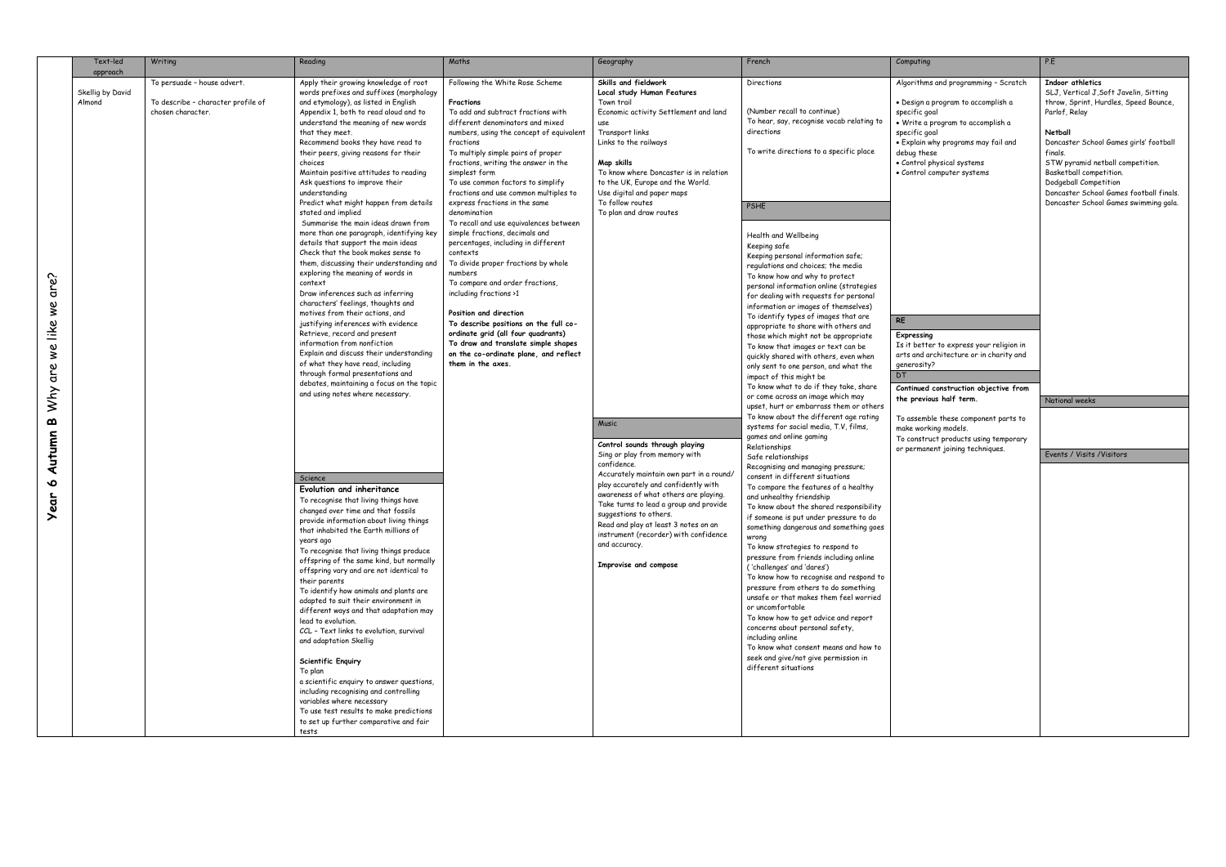|               | Text-led         | Writing                            | Reading                                                                        | Maths                                                                       | Geography                                                        | French                                                                            | Computing                                                    | P.E       |
|---------------|------------------|------------------------------------|--------------------------------------------------------------------------------|-----------------------------------------------------------------------------|------------------------------------------------------------------|-----------------------------------------------------------------------------------|--------------------------------------------------------------|-----------|
|               | approach         | To persuade - house advert.        | Apply their growing knowledge of root                                          | Following the White Rose Scheme                                             | Skills and fieldwork                                             | Directions                                                                        | Algorithms and programming - Scratch                         | <b>In</b> |
|               | Skellig by David |                                    | words prefixes and suffixes (morphology                                        |                                                                             | <b>Local study Human Features</b>                                |                                                                                   |                                                              | SL        |
|               | Almond           | To describe - character profile of | and etymology), as listed in English                                           | Fractions                                                                   | Town trail                                                       |                                                                                   | · Design a program to accomplish a                           | thi       |
|               |                  | chosen character.                  | Appendix 1, both to read aloud and to                                          | To add and subtract fractions with                                          | Economic activity Settlement and land                            | (Number recall to continue)                                                       | specific goal                                                | Par       |
|               |                  |                                    | understand the meaning of new words                                            | different denominators and mixed                                            | use                                                              | To hear, say, recognise vocab relating to<br>directions                           | · Write a program to accomplish a                            |           |
|               |                  |                                    | that they meet.<br>Recommend books they have read to                           | numbers, using the concept of equivalent<br>fractions                       | Transport links<br>Links to the railways                         |                                                                                   | specific goal<br>. Explain why programs may fail and         | Ne<br>Do  |
|               |                  |                                    | their peers, giving reasons for their                                          | To multiply simple pairs of proper                                          |                                                                  | To write directions to a specific place                                           | debug these                                                  | fin       |
|               |                  |                                    | choices                                                                        | fractions, writing the answer in the                                        | Map skills                                                       |                                                                                   | · Control physical systems                                   | <b>ST</b> |
|               |                  |                                    | Maintain positive attitudes to reading                                         | simplest form                                                               | To know where Doncaster is in relation                           |                                                                                   | • Control computer systems                                   | Βа        |
|               |                  |                                    | Ask questions to improve their                                                 | To use common factors to simplify                                           | to the UK, Europe and the World.                                 |                                                                                   |                                                              | Do        |
|               |                  |                                    | understanding<br>Predict what might happen from details                        | fractions and use common multiples to                                       | Use digital and paper maps<br>To follow routes                   |                                                                                   |                                                              | Do        |
|               |                  |                                    | stated and implied                                                             | express fractions in the same<br>denomination                               | To plan and draw routes                                          | PSHE                                                                              |                                                              | Do        |
|               |                  |                                    | Summarise the main ideas drawn from                                            | To recall and use equivalences between                                      |                                                                  |                                                                                   |                                                              |           |
|               |                  |                                    | more than one paragraph, identifying key                                       | simple fractions, decimals and                                              |                                                                  | Health and Wellbeing                                                              |                                                              |           |
|               |                  |                                    | details that support the main ideas                                            | percentages, including in different                                         |                                                                  | Keeping safe                                                                      |                                                              |           |
|               |                  |                                    | Check that the book makes sense to                                             | contexts                                                                    |                                                                  | Keeping personal information safe;                                                |                                                              |           |
|               |                  |                                    | them, discussing their understanding and<br>exploring the meaning of words in  | To divide proper fractions by whole<br>numbers                              |                                                                  | regulations and choices; the media                                                |                                                              |           |
|               |                  |                                    | context                                                                        | To compare and order fractions,                                             |                                                                  | To know how and why to protect                                                    |                                                              |           |
| are?          |                  |                                    | Draw inferences such as inferring                                              | including fractions >1                                                      |                                                                  | personal information online (strategies<br>for dealing with requests for personal |                                                              |           |
| $\frac{1}{2}$ |                  |                                    | characters' feelings, thoughts and                                             |                                                                             |                                                                  | information or images of themselves)                                              |                                                              |           |
|               |                  |                                    | motives from their actions, and                                                | Position and direction                                                      |                                                                  | To identify types of images that are                                              | <b>RE</b>                                                    |           |
| like          |                  |                                    | justifying inferences with evidence<br>Retrieve, record and present            | To describe positions on the full co-<br>ordinate arid (all four quadrants) |                                                                  | appropriate to share with others and                                              |                                                              |           |
|               |                  |                                    | information from nonfiction                                                    | To draw and translate simple shapes                                         |                                                                  | those which might not be appropriate<br>To know that images or text can be        | Expressing<br>Is it better to express your religion in       |           |
| we            |                  |                                    | Explain and discuss their understanding                                        | on the co-ordinate plane, and reflect                                       |                                                                  | quickly shared with others, even when                                             | arts and architecture or in charity and                      |           |
|               |                  |                                    | of what they have read, including                                              | them in the axes.                                                           |                                                                  | only sent to one person, and what the                                             | generosity?                                                  |           |
| are           |                  |                                    | through formal presentations and                                               |                                                                             |                                                                  | impact of this might be                                                           | <b>DT</b>                                                    |           |
|               |                  |                                    | debates, maintaining a focus on the topic<br>and using notes where necessary.  |                                                                             |                                                                  | To know what to do if they take, share                                            | Continued construction objective from                        |           |
| Why           |                  |                                    |                                                                                |                                                                             |                                                                  | or come across an image which may<br>upset, hurt or embarrass them or others      | the previous half term.                                      | No        |
|               |                  |                                    |                                                                                |                                                                             |                                                                  | To know about the different age rating                                            |                                                              |           |
| മ             |                  |                                    |                                                                                |                                                                             | <b>Music</b>                                                     | systems for social media, T.V, films,                                             | To assemble these component parts to<br>make working models. |           |
| Autumn        |                  |                                    |                                                                                |                                                                             |                                                                  | games and online gaming                                                           | To construct products using temporary                        |           |
|               |                  |                                    |                                                                                |                                                                             | Control sounds through playing<br>Sing or play from memory with  | Relationships                                                                     | or permanent joining techniques.                             | Ev        |
|               |                  |                                    |                                                                                |                                                                             | confidence.                                                      | Safe relationships                                                                |                                                              |           |
|               |                  |                                    | Science                                                                        |                                                                             | Accurately maintain own part in a round/                         | Recognising and managing pressure;<br>consent in different situations             |                                                              |           |
| $\bullet$     |                  |                                    | Evolution and inheritance                                                      |                                                                             | play accurately and confidently with                             | To compare the features of a healthy                                              |                                                              |           |
| ear           |                  |                                    | To recognise that living things have                                           |                                                                             | awareness of what others are playing.                            | and unhealthy friendship                                                          |                                                              |           |
|               |                  |                                    | changed over time and that fossils                                             |                                                                             | Take turns to lead a group and provide<br>suggestions to others. | To know about the shared responsibility                                           |                                                              |           |
|               |                  |                                    | provide information about living things                                        |                                                                             | Read and play at least 3 notes on an                             | if someone is put under pressure to do<br>something dangerous and something goes  |                                                              |           |
|               |                  |                                    | that inhabited the Earth millions of                                           |                                                                             | instrument (recorder) with confidence                            | wrong                                                                             |                                                              |           |
|               |                  |                                    | years ago<br>To recognise that living things produce                           |                                                                             | and accuracy.                                                    | To know strategies to respond to                                                  |                                                              |           |
|               |                  |                                    | offspring of the same kind, but normally                                       |                                                                             |                                                                  | pressure from friends including online                                            |                                                              |           |
|               |                  |                                    | offspring vary and are not identical to                                        |                                                                             | Improvise and compose                                            | ('challenges' and 'dares')                                                        |                                                              |           |
|               |                  |                                    | their parents                                                                  |                                                                             |                                                                  | To know how to recognise and respond to                                           |                                                              |           |
|               |                  |                                    | To identify how animals and plants are                                         |                                                                             |                                                                  | pressure from others to do something<br>unsafe or that makes them feel worried    |                                                              |           |
|               |                  |                                    | adapted to suit their environment in<br>different ways and that adaptation may |                                                                             |                                                                  | or uncomfortable                                                                  |                                                              |           |
|               |                  |                                    | lead to evolution.                                                             |                                                                             |                                                                  | To know how to get advice and report                                              |                                                              |           |
|               |                  |                                    | CCL - Text links to evolution, survival                                        |                                                                             |                                                                  | concerns about personal safety,                                                   |                                                              |           |
|               |                  |                                    | and adaptation Skellig                                                         |                                                                             |                                                                  | including online                                                                  |                                                              |           |
|               |                  |                                    |                                                                                |                                                                             |                                                                  | To know what consent means and how to<br>seek and give/not give permission in     |                                                              |           |
|               |                  |                                    | Scientific Enquiry                                                             |                                                                             |                                                                  | different situations                                                              |                                                              |           |
|               |                  |                                    | To plan<br>a scientific enquiry to answer questions,                           |                                                                             |                                                                  |                                                                                   |                                                              |           |
|               |                  |                                    | including recognising and controlling                                          |                                                                             |                                                                  |                                                                                   |                                                              |           |
|               |                  |                                    | variables where necessary                                                      |                                                                             |                                                                  |                                                                                   |                                                              |           |
|               |                  |                                    | To use test results to make predictions                                        |                                                                             |                                                                  |                                                                                   |                                                              |           |
|               |                  |                                    | to set up further comparative and fair                                         |                                                                             |                                                                  |                                                                                   |                                                              |           |
|               |                  |                                    | tests                                                                          |                                                                             |                                                                  |                                                                                   |                                                              |           |

|                                                                                                                                                                                                                                                                                                                                                                     | Computing                                                                                                                                                                                                                                                           | P.E                                                                                                                                                                                                                                                                                                                                                                     |
|---------------------------------------------------------------------------------------------------------------------------------------------------------------------------------------------------------------------------------------------------------------------------------------------------------------------------------------------------------------------|---------------------------------------------------------------------------------------------------------------------------------------------------------------------------------------------------------------------------------------------------------------------|-------------------------------------------------------------------------------------------------------------------------------------------------------------------------------------------------------------------------------------------------------------------------------------------------------------------------------------------------------------------------|
| continue)<br>nise vocab relating to<br>s to a specific place                                                                                                                                                                                                                                                                                                        | Algorithms and programming - Scratch<br>· Design a program to accomplish a<br>specific goal<br>• Write a program to accomplish a<br>specific goal<br>• Explain why programs may fail and<br>debug these<br>· Control physical systems<br>• Control computer systems | <b>Indoor athletics</b><br>SLJ, Vertical J, Soft Javelin, Sitting<br>throw, Sprint, Hurdles, Speed Bounce,<br>Parlof, Relay<br>Netball<br>Doncaster School Games girls' football<br>finals.<br>STW pyramid netball competition.<br>Basketball competition.<br>Dodgeball Competition<br>Doncaster School Games football finals.<br>Doncaster School Games swimming gala. |
| ing<br>formation safe;<br>vices; the media<br>hy to protect<br>on online (strategies<br>quests for personal<br>ges of themselves)                                                                                                                                                                                                                                   |                                                                                                                                                                                                                                                                     |                                                                                                                                                                                                                                                                                                                                                                         |
| f images that are<br>re with others and<br>not be appropriate<br>es or text can be<br>others, even when ا<br>rson, and what the<br>it be<br>o if they take, share<br>image which may                                                                                                                                                                                | <b>RE</b><br>Expressing<br>Is it better to express your religion in<br>arts and architecture or in charity and<br>generosity?<br>DT<br>Continued construction objective from<br>the previous half term.                                                             | National weeks                                                                                                                                                                                                                                                                                                                                                          |
| arrass them or others<br>different age rating<br>media, T.V, films,<br>aming                                                                                                                                                                                                                                                                                        | To assemble these component parts to<br>make working models.<br>To construct products using temporary<br>or permanent joining techniques.                                                                                                                           | Events / Visits / Visitors                                                                                                                                                                                                                                                                                                                                              |
| naging pressure;<br>nt situations<br>atures of a healthy<br>ndship<br>shared responsibility<br>nder pressure to do<br>us and something goes<br>to respond to<br>nds including online<br>ares')<br>cognise and respond to<br>ers to do something<br>es them feel worried!<br>t advice and report<br>sonal safety,<br>ent means and how to<br>give permission in<br>S |                                                                                                                                                                                                                                                                     |                                                                                                                                                                                                                                                                                                                                                                         |
|                                                                                                                                                                                                                                                                                                                                                                     |                                                                                                                                                                                                                                                                     |                                                                                                                                                                                                                                                                                                                                                                         |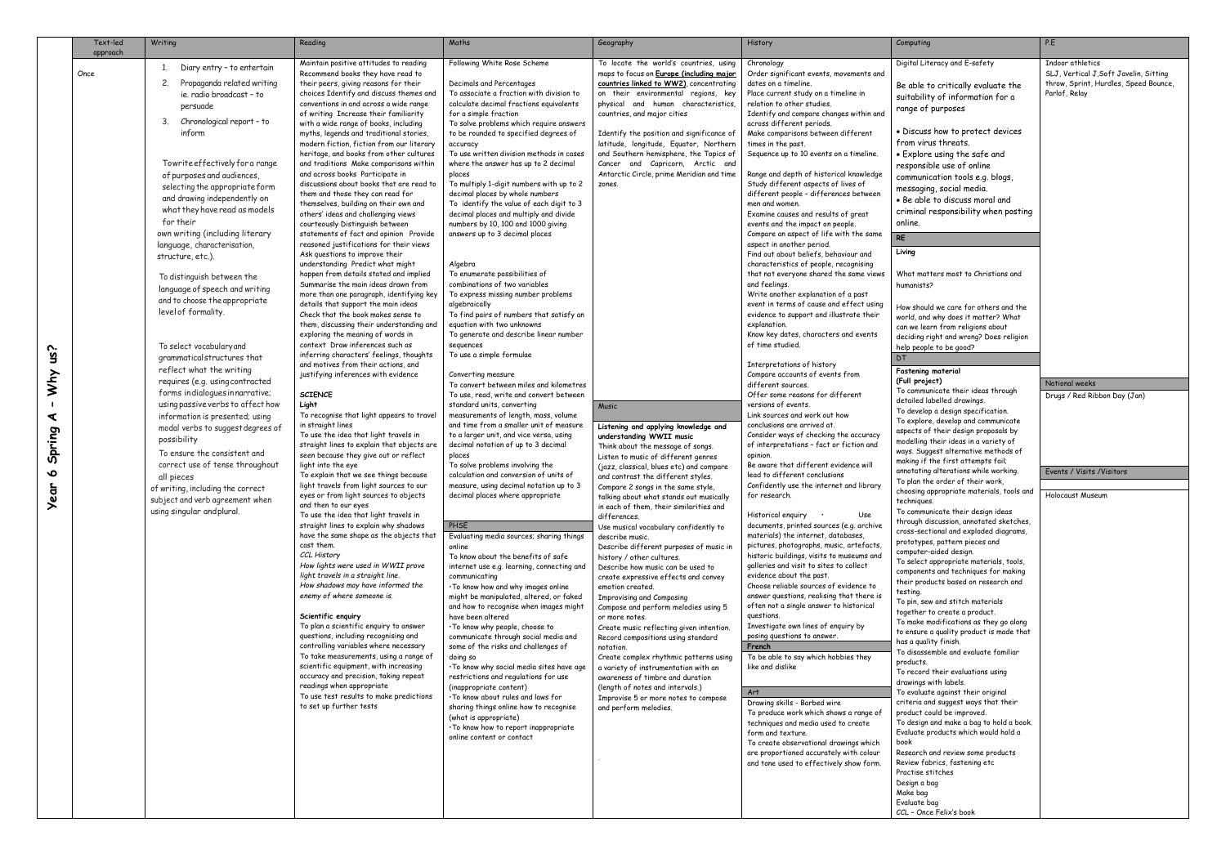| Following White Rose Scheme<br>Indoor athletics<br>Maintain positive attitudes to reading<br>To locate the world's countries, using<br>Digital Literacy and E-safety<br>Chronology<br>Diary entry - to entertain<br>SLJ, Vertical J, Soft Javelin, Sitting<br>Recommend books they have read to<br>maps to focus on Europe (including major<br>Order significant events, movements and<br>Once<br>Propaganda related writing<br>2.<br>their peers, giving reasons for their<br>countries linked to WW2), concentrating<br>Decimals and Percentages<br>dates on a timeline.<br>throw, Sprint, Hurdles, Speed Bounce,<br>Be able to critically evaluate the<br>choices Identify and discuss themes and<br>To associate a fraction with division to<br>on their environmental regions, key<br>Place current study on a timeline in<br>Parlof, Relay<br>ie, radio broadcast - to<br>suitability of information for a<br>conventions in and across a wide range<br>calculate decimal fractions equivalents<br>physical and human characteristics,<br>relation to other studies.<br>persuade<br>range of purposes<br>of writing Increase their familiarity<br>for a simple fraction<br>countries, and major cities<br>Identify and compare changes within and<br>Chronological report - to<br>3.<br>with a wide range of books, including<br>To solve problems which require answers<br>across different periods.<br>• Discuss how to protect devices<br>inform<br>myths, legends and traditional stories,<br>to be rounded to specified degrees of<br>Identify the position and significance of<br>Make comparisons between different<br>from virus threats.<br>modern fiction, fiction from our literary<br>latitude, longitude, Equator, Northern<br>times in the past.<br>accuracy<br>heritage, and books from other cultures<br>To use written division methods in cases<br>and Southern hemisphere, the Topics of<br>Sequence up to 10 events on a timeline.<br>• Explore using the safe and<br>Towrite effectively for a range<br>and traditions Make comparisons within<br>where the answer has up to 2 decimal<br>Cancer and Capricorn, Arctic and<br>responsible use of online<br>Antarctic Circle, prime Meridian and time<br>and across books Participate in<br>Range and depth of historical knowledge<br>places<br>of purposes and audiences,<br>communication tools e.g. blogs,<br>discussions about books that are read to<br>To multiply 1-digit numbers with up to 2<br>Study different aspects of lives of<br>zones.<br>selecting the appropriate form<br>messaging, social media.<br>different people - differences between<br>them and those they can read for<br>decimal places by whole numbers<br>and drawing independently on<br>. Be able to discuss moral and<br>To identify the value of each digit to 3<br>men and women.<br>themselves, building on their own and<br>what they have read as models<br>criminal responsibility when posting<br>others' ideas and challenging views<br>decimal places and multiply and divide<br>Examine causes and results of great<br>for their<br>courteously Distinguish between<br>numbers by 10, 100 and 1000 giving<br>events and the impact on people.<br>online.<br>own writing (including literary<br>statements of fact and opinion Provide<br>answers up to 3 decimal places<br>Compare an aspect of life with the same<br><b>RE</b><br>reasoned justifications for their views<br>aspect in another period.<br>language, characterisation,<br>Living<br>Ask questions to improve their<br>Find out about beliefs, behaviour and<br>structure, etc.).<br>understanding Predict what might<br>characteristics of people, recognising<br>Algebra<br>What matters most to Christians and<br>happen from details stated and implied<br>To enumerate possibilities of<br>that not everyone shared the same views<br>To distinguish between the<br>Summarise the main ideas drawn from<br>combinations of two variables<br>and feelings.<br>humanists?<br>language of speech and writing<br>more than one paragraph, identifying key<br>To express missing number problems<br>Write another explanation of a past<br>and to choose the appropriate<br>details that support the main ideas<br>event in terms of cause and effect using<br>algebraically<br>How should we care for others and the<br>level of formality.<br>Check that the book makes sense to<br>To find pairs of numbers that satisfy an<br>evidence to support and illustrate their<br>world, and why does it matter? What<br>them, discussing their understanding and<br>equation with two unknowns<br>explanation.<br>can we learn from religions about<br>exploring the meaning of words in<br>To generate and describe linear number<br>Know key dates, characters and events<br>deciding right and wrong? Does religion<br>context Draw inferences such as<br>of time studied.<br>sequences<br>To select vocabulary and<br>help people to be good?<br>To use a simple formulae<br>inferring characters' feelings, thoughts<br>grammatical structures that<br>DT.<br>and motives from their actions, and<br>Interpretations of history<br>reflect what the writing<br><b>Fastening material</b><br>justifying inferences with evidence<br>Compare accounts of events from<br>Converting measure<br>requires (e.g. using contracted<br>(Full project)<br>National weeks<br>To convert between miles and kilometres<br>different sources.<br>To communicate their ideas through<br>forms indialogues innarrative;<br>Offer some reasons for different<br><b>SCIENCE</b><br>To use, read, write and convert between<br>Drugs / Red Ribbon Day (Jan)<br>detailed labelled drawings.<br>using passive verbs to affect how<br>versions of events.<br>standard units, converting<br>Light<br>Music<br>To develop a design specification.<br>To recognise that light appears to travel<br>measurements of length, mass, volume<br>Link sources and work out how<br>information is presented; using<br>To explore, develop and communicate<br>and time from a smaller unit of measure<br>in straight lines<br>conclusions are arrived at.<br>Listening and applying knowledge and<br>modal verbs to suggest degrees of<br>aspects of their design proposals by<br>To use the idea that light travels in<br>to a larger unit, and vice versa, using<br>Consider ways of checking the accuracy<br>understanding WWII music<br>possibility<br>modelling their ideas in a variety of<br>straight lines to explain that objects are<br>decimal notation of up to 3 decimal<br>of interpretations - fact or fiction and<br>Think about the message of songs.<br>ways. Suggest alternative methods of<br>To ensure the consistent and<br>seen because they give out or reflect<br>places<br>opinion.<br>Listen to music of different genres<br>making if the first attempts fail;<br>correct use of tense throughout<br>light into the eye<br>To solve problems involving the<br>Be aware that different evidence will<br>(jazz, classical, blues etc) and compare<br>Events / Visits / Visitors<br>annotating alterations while working.<br>calculation and conversion of units of<br>To explain that we see things because<br>lead to different conclusions<br>and contrast the different styles.<br>all pieces<br>To plan the order of their work,<br>light travels from light sources to our<br>measure, using decimal notation up to 3<br>Confidently use the internet and library<br>Compare 2 songs in the same style,<br>of writing, including the correct<br>choosing appropriate materials, tools and Holocaust Museum<br>eyes or from light sources to objects<br>decimal places where appropriate<br>for research.<br>talking about what stands out musically<br>subject and verb agreement when<br>techniques.<br>and then to our eyes<br>in each of them, their similarities and<br>using singular and plural.<br>To communicate their design ideas<br>To use the idea that light travels in<br>Use<br>Historical enguiry<br>differences.<br>through discussion, annotated sketches,<br>straight lines to explain why shadows<br>PHSE<br>documents, printed sources (e.g. archive<br>Use musical vocabulary confidently to<br>cross-sectional and exploded diagrams,<br>have the same shape as the objects that<br>materials) the internet, databases,<br>Evaluating media sources; sharing things<br>describe music.<br>prototypes, pattern pieces and<br>cast them.<br>pictures, photographs, music, artefacts,<br>online<br>Describe different purposes of music in<br>computer-aided design.<br>CCL History<br>historic buildings, visits to museums and<br>To know about the benefits of safe<br>history / other cultures.<br>To select appropriate materials, tools,<br>How lights were used in WWII prove<br>galleries and visit to sites to collect<br>internet use e.g. learning, connecting and<br>Describe how music can be used to<br>components and techniques for making<br>light travels in a straight line.<br>evidence about the past.<br>communicating<br>create expressive effects and convey<br>their products based on research and<br>How shadows may have informed the<br>Choose reliable sources of evidence to<br>. To know how and why images online<br>emotion created.<br>testing.<br>enemy of where someone is.<br>answer questions, realising that there is<br>might be manipulated, altered, or faked<br><b>Improvising and Composing</b><br>To pin, sew and stitch materials<br>often not a single answer to historical<br>and how to recognise when images might<br>Compose and perform melodies using 5<br>together to create a product.<br>Scientific enquiry<br>questions.<br>have been altered<br>or more notes.<br>To make modifications as they go along<br>To plan a scientific enguiry to answer<br>Investigate own lines of enquiry by<br>. To know why people, choose to<br>Create music reflecting given intention.<br>to ensure a quality product is made that<br>questions, including recognising and<br>posing questions to answer.<br>communicate through social media and<br>Record compositions using standard<br>has a quality finish.<br>controlling variables where necessary<br>some of the risks and challenges of<br>French<br>notation.<br>To disassemble and evaluate familiar<br>To take measurements, using a range of<br>To be able to say which hobbies they<br>doing so<br>Create complex rhythmic patterns using<br>products.<br>scientific equipment, with increasing<br>like and dislike<br>. To know why social media sites have age<br>a variety of instrumentation with an<br>To record their evaluations using<br>accuracy and precision, taking repeat<br>restrictions and regulations for use<br>awareness of timbre and duration<br>drawings with labels.<br>readings when appropriate<br>(inappropriate content)<br>(length of notes and intervals.)<br>To evaluate against their original<br>Art<br>To use test results to make predictions<br>. To know about rules and laws for<br>Improvise 5 or more notes to compose<br>Drawing skills - Barbed wire<br>criteria and suggest ways that their<br>to set up further tests<br>sharing things online how to recognise<br>and perform melodies.<br>product could be improved.<br>To produce work which shows a range of<br>(what is appropriate)<br>To design and make a bag to hold a book.<br>techniques and media used to create<br>. To know how to report inappropriate<br>Evaluate products which would hold a<br>form and texture.<br>online content or contact<br>To create observational drawings which<br>book<br>Research and review some products<br>are proportioned accurately with colour<br>and tone used to effectively show form.<br>Review fabrics, fastening etc<br>Practise stitches<br>Design a bag<br>Make bag<br>Evaluate bag | Text-led<br>approach | Writing | Reading | Maths | Geography | History | Computing | P.E |
|-----------------------------------------------------------------------------------------------------------------------------------------------------------------------------------------------------------------------------------------------------------------------------------------------------------------------------------------------------------------------------------------------------------------------------------------------------------------------------------------------------------------------------------------------------------------------------------------------------------------------------------------------------------------------------------------------------------------------------------------------------------------------------------------------------------------------------------------------------------------------------------------------------------------------------------------------------------------------------------------------------------------------------------------------------------------------------------------------------------------------------------------------------------------------------------------------------------------------------------------------------------------------------------------------------------------------------------------------------------------------------------------------------------------------------------------------------------------------------------------------------------------------------------------------------------------------------------------------------------------------------------------------------------------------------------------------------------------------------------------------------------------------------------------------------------------------------------------------------------------------------------------------------------------------------------------------------------------------------------------------------------------------------------------------------------------------------------------------------------------------------------------------------------------------------------------------------------------------------------------------------------------------------------------------------------------------------------------------------------------------------------------------------------------------------------------------------------------------------------------------------------------------------------------------------------------------------------------------------------------------------------------------------------------------------------------------------------------------------------------------------------------------------------------------------------------------------------------------------------------------------------------------------------------------------------------------------------------------------------------------------------------------------------------------------------------------------------------------------------------------------------------------------------------------------------------------------------------------------------------------------------------------------------------------------------------------------------------------------------------------------------------------------------------------------------------------------------------------------------------------------------------------------------------------------------------------------------------------------------------------------------------------------------------------------------------------------------------------------------------------------------------------------------------------------------------------------------------------------------------------------------------------------------------------------------------------------------------------------------------------------------------------------------------------------------------------------------------------------------------------------------------------------------------------------------------------------------------------------------------------------------------------------------------------------------------------------------------------------------------------------------------------------------------------------------------------------------------------------------------------------------------------------------------------------------------------------------------------------------------------------------------------------------------------------------------------------------------------------------------------------------------------------------------------------------------------------------------------------------------------------------------------------------------------------------------------------------------------------------------------------------------------------------------------------------------------------------------------------------------------------------------------------------------------------------------------------------------------------------------------------------------------------------------------------------------------------------------------------------------------------------------------------------------------------------------------------------------------------------------------------------------------------------------------------------------------------------------------------------------------------------------------------------------------------------------------------------------------------------------------------------------------------------------------------------------------------------------------------------------------------------------------------------------------------------------------------------------------------------------------------------------------------------------------------------------------------------------------------------------------------------------------------------------------------------------------------------------------------------------------------------------------------------------------------------------------------------------------------------------------------------------------------------------------------------------------------------------------------------------------------------------------------------------------------------------------------------------------------------------------------------------------------------------------------------------------------------------------------------------------------------------------------------------------------------------------------------------------------------------------------------------------------------------------------------------------------------------------------------------------------------------------------------------------------------------------------------------------------------------------------------------------------------------------------------------------------------------------------------------------------------------------------------------------------------------------------------------------------------------------------------------------------------------------------------------------------------------------------------------------------------------------------------------------------------------------------------------------------------------------------------------------------------------------------------------------------------------------------------------------------------------------------------------------------------------------------------------------------------------------------------------------------------------------------------------------------------------------------------------------------------------------------------------------------------------------------------------------------------------------------------------------------------------------------------------------------------------------------------------------------------------------------------------------------------------------------------------------------------------------------------------------------------------------------------------------------------------------------------------------------------------------------------------------------------------------------------------------------------------------------------------------------------------------------------------------------------------------------------------------------------------------------------------------------------------------------------------------------------------------------------------------------------------------------------------------------------------------------------------------------------------------------------------------------------------------------------------------------------------------------------------------------------------------------------------------------------------------------------------------------------------------------------------------------------------------------------------------------------------------------------------------------------------------------------------------------------------------------------------------------------------------------------------------------------------------------------------------------------------------------------------------------------------------------------------------------------------------------------------------------------------------------------------------------------------------------------------------------------------------------------------------------------------------------------------------------------------------------------------------------------------------------------------------------------------------------------------------------------------------------------------------------------------------------------------------------------------------------------------------------------------------------------------------------------------------------------------------------------------------------------------------------------------------------------------------------------------------------------------------------------------------------------------------------------------------------------------------------------------------------------------------------------------------------------------------------------------------------------------------------------------------------------------------------------------------------------------------------------------------------------------------------------------------------------------------------------------------------------------------------------------------------------------------------------------------------------------------------------------------------------------------------------------------------------------------------------------------------------------------------------------------------------------------------------------------------------------------------------------------------------------------------------------------------------------------------------------------------------------------------------------------------------------------------------------------------------------------------------------------------------------------------------------------------------------------------------------------------------------------------------------------------------------------------------------------------------------------------------------------------------------------------------------|----------------------|---------|---------|-------|-----------|---------|-----------|-----|
|                                                                                                                                                                                                                                                                                                                                                                                                                                                                                                                                                                                                                                                                                                                                                                                                                                                                                                                                                                                                                                                                                                                                                                                                                                                                                                                                                                                                                                                                                                                                                                                                                                                                                                                                                                                                                                                                                                                                                                                                                                                                                                                                                                                                                                                                                                                                                                                                                                                                                                                                                                                                                                                                                                                                                                                                                                                                                                                                                                                                                                                                                                                                                                                                                                                                                                                                                                                                                                                                                                                                                                                                                                                                                                                                                                                                                                                                                                                                                                                                                                                                                                                                                                                                                                                                                                                                                                                                                                                                                                                                                                                                                                                                                                                                                                                                                                                                                                                                                                                                                                                                                                                                                                                                                                                                                                                                                                                                                                                                                                                                                                                                                                                                                                                                                                                                                                                                                                                                                                                                                                                                                                                                                                                                                                                                                                                                                                                                                                                                                                                                                                                                                                                                                                                                                                                                                                                                                                                                                                                                                                                                                                                                                                                                                                                                                                                                                                                                                                                                                                                                                                                                                                                                                                                                                                                                                                                                                                                                                                                                                                                                                                                                                                                                                                                                                                                                                                                                                                                                                                                                                                                                                                                                                                                                                                                                                                                                                                                                                                                                                                                                                                                                                                                                                                                                                                                                                                                                                                                                                                                                                                                                                                                                                                                                                                                                                                                                                                                                                                                                                                                                                                                                                                                                                                                                                                                                                                                                                                                                                                                                                                                                                                                                                                                                                                                                                                                                                                                                                                                                                                                                                                                                                                                                                                                                                                                                                                                                                                                                                                                                                                                                                                                                                                                                                                                                                                                                                                                 |                      |         |         |       |           |         |           |     |
| CCL - Once Felix's book                                                                                                                                                                                                                                                                                                                                                                                                                                                                                                                                                                                                                                                                                                                                                                                                                                                                                                                                                                                                                                                                                                                                                                                                                                                                                                                                                                                                                                                                                                                                                                                                                                                                                                                                                                                                                                                                                                                                                                                                                                                                                                                                                                                                                                                                                                                                                                                                                                                                                                                                                                                                                                                                                                                                                                                                                                                                                                                                                                                                                                                                                                                                                                                                                                                                                                                                                                                                                                                                                                                                                                                                                                                                                                                                                                                                                                                                                                                                                                                                                                                                                                                                                                                                                                                                                                                                                                                                                                                                                                                                                                                                                                                                                                                                                                                                                                                                                                                                                                                                                                                                                                                                                                                                                                                                                                                                                                                                                                                                                                                                                                                                                                                                                                                                                                                                                                                                                                                                                                                                                                                                                                                                                                                                                                                                                                                                                                                                                                                                                                                                                                                                                                                                                                                                                                                                                                                                                                                                                                                                                                                                                                                                                                                                                                                                                                                                                                                                                                                                                                                                                                                                                                                                                                                                                                                                                                                                                                                                                                                                                                                                                                                                                                                                                                                                                                                                                                                                                                                                                                                                                                                                                                                                                                                                                                                                                                                                                                                                                                                                                                                                                                                                                                                                                                                                                                                                                                                                                                                                                                                                                                                                                                                                                                                                                                                                                                                                                                                                                                                                                                                                                                                                                                                                                                                                                                                                                                                                                                                                                                                                                                                                                                                                                                                                                                                                                                                                                                                                                                                                                                                                                                                                                                                                                                                                                                                                                                                                                                                                                                                                                                                                                                                                                                                                                                                                                                                                                         |                      |         |         |       |           |         |           |     |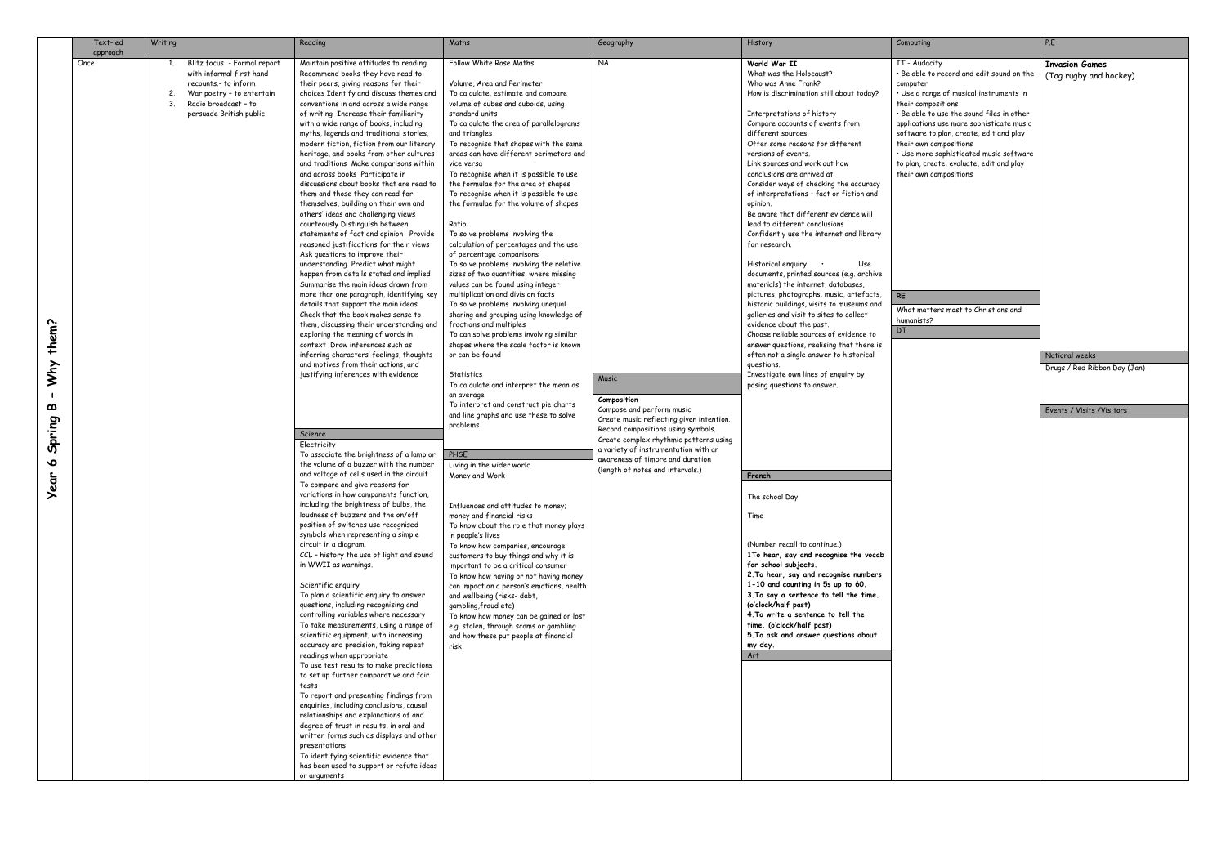| approach<br>Once<br>Follow White Rose Maths<br><b>NA</b><br>World War II<br>IT - Audacity<br>Blitz focus - Formal report<br>Maintain positive attitudes to reading<br>with informal first hand<br>What was the Holocaust?<br>Recommend books they have read to<br>· Be able to record and edit sound on the<br>recounts.- to inform<br>their peers, giving reasons for their<br>Volume, Area and Perimeter<br>Who was Anne Frank?<br>computer                                                                                                                                                                                                                                                                                                                                                                                                                                                                                                                                                                                                                                                                                                                                                                                                                                                                                                                                                                                                                                                                                                                                                                                                                                                                                                                                                                                                                                                                                                                                                                                                                                                                                                                                                                                                                                                                                                                                                                                                                                                                                                                                                                                                                                                                                                                                                                                                                                                                                                                                                                                                                                                                                                                                                                                                                                                                                                                                                                                                                                                                                                                                                                                                                                                                                                                                                                                                                                                                                                                                                                                                                                                                                                                                                                                                                                                                                                                                                                                                                                                                                                                                                                                                                                                                                                                                                                                                                                                                                                                                                                                                                                                                                                                                                                                                                                                                                                                                                                                                                                                                                                                                                                                                                                                                                                                                                                                                                                                                                                                                                                                                                                                                                                                                                                                                                                                                                                                                                                                                               |
|-------------------------------------------------------------------------------------------------------------------------------------------------------------------------------------------------------------------------------------------------------------------------------------------------------------------------------------------------------------------------------------------------------------------------------------------------------------------------------------------------------------------------------------------------------------------------------------------------------------------------------------------------------------------------------------------------------------------------------------------------------------------------------------------------------------------------------------------------------------------------------------------------------------------------------------------------------------------------------------------------------------------------------------------------------------------------------------------------------------------------------------------------------------------------------------------------------------------------------------------------------------------------------------------------------------------------------------------------------------------------------------------------------------------------------------------------------------------------------------------------------------------------------------------------------------------------------------------------------------------------------------------------------------------------------------------------------------------------------------------------------------------------------------------------------------------------------------------------------------------------------------------------------------------------------------------------------------------------------------------------------------------------------------------------------------------------------------------------------------------------------------------------------------------------------------------------------------------------------------------------------------------------------------------------------------------------------------------------------------------------------------------------------------------------------------------------------------------------------------------------------------------------------------------------------------------------------------------------------------------------------------------------------------------------------------------------------------------------------------------------------------------------------------------------------------------------------------------------------------------------------------------------------------------------------------------------------------------------------------------------------------------------------------------------------------------------------------------------------------------------------------------------------------------------------------------------------------------------------------------------------------------------------------------------------------------------------------------------------------------------------------------------------------------------------------------------------------------------------------------------------------------------------------------------------------------------------------------------------------------------------------------------------------------------------------------------------------------------------------------------------------------------------------------------------------------------------------------------------------------------------------------------------------------------------------------------------------------------------------------------------------------------------------------------------------------------------------------------------------------------------------------------------------------------------------------------------------------------------------------------------------------------------------------------------------------------------------------------------------------------------------------------------------------------------------------------------------------------------------------------------------------------------------------------------------------------------------------------------------------------------------------------------------------------------------------------------------------------------------------------------------------------------------------------------------------------------------------------------------------------------------------------------------------------------------------------------------------------------------------------------------------------------------------------------------------------------------------------------------------------------------------------------------------------------------------------------------------------------------------------------------------------------------------------------------------------------------------------------------------------------------------------------------------------------------------------------------------------------------------------------------------------------------------------------------------------------------------------------------------------------------------------------------------------------------------------------------------------------------------------------------------------------------------------------------------------------------------------------------------------------------------------------------------------------------------------------------------------------------------------------------------------------------------------------------------------------------------------------------------------------------------------------------------------------------------------------------------------------------------------------------------------------------------------------------------------------------------------------------------------------------------------------------------------------------------------------------|
| War poetry - to entertain<br>choices Identify and discuss themes and<br>To calculate, estimate and compare<br>How is discrimination still about today?<br>· Use a range of musical instruments in<br>2.<br>Radio broadcast - to<br>conventions in and across a wide range<br>volume of cubes and cuboids, using<br>their compositions<br>standard units<br>persuade British public<br>of writing Increase their familiarity<br>Interpretations of history<br>· Be able to use the sound files in other<br>with a wide range of books, including<br>To calculate the area of parallelograms<br>Compare accounts of events from<br>applications use more sophisticate music<br>myths, legends and traditional stories,<br>and triangles<br>different sources.<br>software to plan, create, edit and play<br>modern fiction, fiction from our literary<br>To recognise that shapes with the same<br>Offer some reasons for different<br>their own compositions<br>areas can have different perimeters and<br>versions of events.<br>heritage, and books from other cultures<br>· Use more sophisticated music software<br>and traditions Make comparisons within<br>Link sources and work out how<br>to plan, create, evaluate, edit and play<br>vice versa<br>and across books Participate in<br>To recognise when it is possible to use<br>conclusions are arrived at.<br>their own compositions<br>discussions about books that are read to<br>the formulae for the area of shapes<br>Consider ways of checking the accuracy<br>them and those they can read for<br>To recognise when it is possible to use<br>of interpretations - fact or fiction and<br>themselves, building on their own and<br>the formulae for the volume of shapes<br>opinion.<br>Be aware that different evidence will<br>others' ideas and challenging views<br>lead to different conclusions<br>courteously Distinguish between<br>Ratio<br>statements of fact and opinion Provide<br>To solve problems involving the<br>Confidently use the internet and library<br>reasoned justifications for their views<br>calculation of percentages and the use<br>for research.<br>Ask questions to improve their<br>of percentage comparisons<br>understanding Predict what might<br>To solve problems involving the relative<br>Historical enguiry<br>Use<br>happen from details stated and implied<br>sizes of two quantities, where missing<br>documents, printed sources (e.g. archive<br>Summarise the main ideas drawn from<br>values can be found using integer<br>materials) the internet, databases,<br>more than one paragraph, identifying key<br>multiplication and division facts<br>pictures, photographs, music, artefacts,<br><b>RE</b><br>details that support the main ideas<br>To solve problems involving unequal<br>historic buildings, visits to museums and<br>What matters most to Christians and<br>Check that the book makes sense to<br>sharing and grouping using knowledge of<br>galleries and visit to sites to collect<br>humanists?<br>them?<br>them, discussing their understanding and<br>fractions and multiples<br>evidence about the past.<br>DT<br>Choose reliable sources of evidence to<br>exploring the meaning of words in<br>To can solve problems involving similar<br>shapes where the scale factor is known<br>context Draw inferences such as<br>answer questions, realising that there is<br>inferring characters' feelings, thoughts<br>or can be found<br>often not a single answer to historical<br>and motives from their actions, and<br>Уhу<br>questions.<br>justifying inferences with evidence<br>Investigate own lines of enguiry by<br>Statistics<br>Music<br>To calculate and interpret the mean as<br>posing questions to answer.<br>an average<br>Composition<br>To interpret and construct pie charts<br>മ<br>Compose and perform music<br>and line graphs and use these to solve<br>Create music reflecting given intention.<br>Spring<br>problems<br>Record compositions using symbols.<br>Science<br>Create complex rhythmic patterns using<br>Electricity<br>a variety of instrumentation with an<br>To associate the brightness of a lamp or<br>PHSE<br>awareness of timbre and duration<br>∾<br>the volume of a buzzer with the number<br>Living in the wider world<br>(length of notes and intervals.)<br>and voltage of cells used in the circuit<br>ar<br>Money and Work<br>French<br>To compare and give reasons for<br>variations in how components function,<br>The school Day<br>including the brightness of bulbs, the<br>Influences and attitudes to money;<br>loudness of buzzers and the on/off<br>Time<br>money and financial risks<br>position of switches use recognised<br>To know about the role that money plays<br>symbols when representing a simple<br>in people's lives<br>(Number recall to continue.)<br>circuit in a diagram.<br>To know how companies, encourage<br>CCL - history the use of light and sound<br>1To hear, say and recognise the vocab<br>customers to buy things and why it is<br>for school subjects.<br>in WWII as warnings.<br>important to be a critical consumer<br>2. To hear, say and recognise numbers<br>To know how having or not having money<br>1-10 and counting in 5s up to 60.<br>Scientific enquiry<br>can impact on a person's emotions, health<br>3. To say a sentence to tell the time.<br>To plan a scientific enguiry to answer<br>and wellbeing (risks- debt,<br>(oʻclock/half past)<br>questions, including recognising and<br>gambling, fraud etc)<br>4. To write a sentence to tell the<br>controlling variables where necessary<br>To know how money can be gained or lost<br>time. (o'clock/half past)<br>To take measurements, using a range of<br>e.g. stolen, through scams or gambling<br>5. To ask and answer questions about<br>scientific equipment, with increasing<br>and how these put people at financial<br>accuracy and precision, taking repeat<br>risk<br>my day.<br>readings when appropriate<br>Art<br>To use test results to make predictions<br>to set up further comparative and fair<br>tests<br>To report and presenting findings from<br>enquiries, including conclusions, causal<br>relationships and explanations of and<br>degree of trust in results, in oral and<br>written forms such as displays and other<br>presentations<br>To identifying scientific evidence that<br>has been used to support or refute ideas |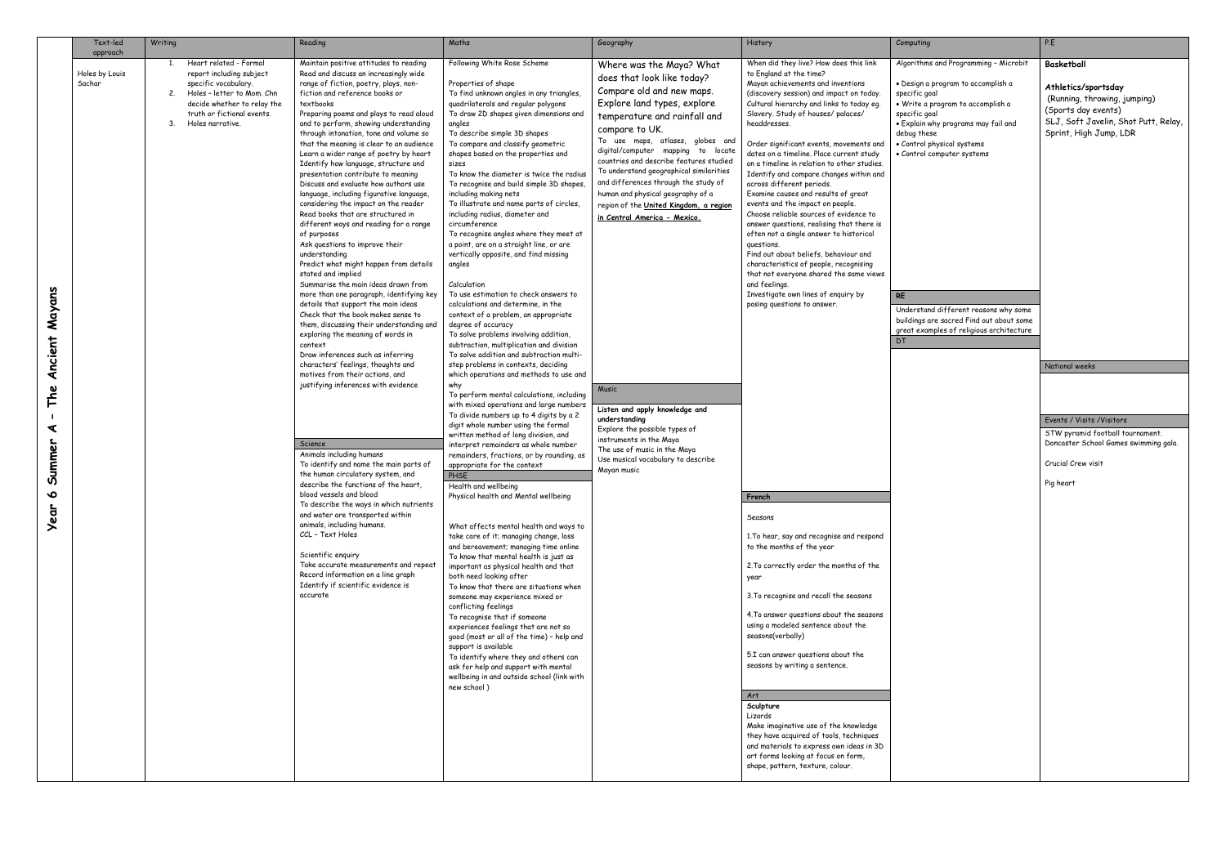|                                                     | Text-led<br>approach     | Writing  |                                                                                                                                                                                           | Reading                                                                                                                                                                                                                                                                                                                                                                                                                                                                                                                                                                                                                                                                                                                                                                                                                                                                                                                                                                                                                                                                                                                                                                                                                                                                                                                                                                                                                                                                                                                                                                                                                                                                                                                  | Maths                                                                                                                                                                                                                                                                                                                                                                                                                                                                                                                                                                                                                                                                                                                                                                                                                                                                                                                                                                                                                                                                                                                                                                                                                                                                                                                                                                                                                                                                                                                                                                                                                                                                                                                                                                                                                                                                                                                                                                                                                                                                                                               | Geography                                                                                                                                                                                                                                                                                                                                                                                                                                                                                                                                                                                                                                                                                                | <b>History</b>                                                                                                                                                                                                                                                                                                                                                                                                                                                                                                                                                                                                                                                                                                                                                                                                                                                                                                                                                                                                                                                                                                                                                                                                                                                                                                                                                                                                                                                                                                                           | Computing                                                                                                                                                                                                                                                                                                                                                                                                                | P.E                                                                                                             |
|-----------------------------------------------------|--------------------------|----------|-------------------------------------------------------------------------------------------------------------------------------------------------------------------------------------------|--------------------------------------------------------------------------------------------------------------------------------------------------------------------------------------------------------------------------------------------------------------------------------------------------------------------------------------------------------------------------------------------------------------------------------------------------------------------------------------------------------------------------------------------------------------------------------------------------------------------------------------------------------------------------------------------------------------------------------------------------------------------------------------------------------------------------------------------------------------------------------------------------------------------------------------------------------------------------------------------------------------------------------------------------------------------------------------------------------------------------------------------------------------------------------------------------------------------------------------------------------------------------------------------------------------------------------------------------------------------------------------------------------------------------------------------------------------------------------------------------------------------------------------------------------------------------------------------------------------------------------------------------------------------------------------------------------------------------|---------------------------------------------------------------------------------------------------------------------------------------------------------------------------------------------------------------------------------------------------------------------------------------------------------------------------------------------------------------------------------------------------------------------------------------------------------------------------------------------------------------------------------------------------------------------------------------------------------------------------------------------------------------------------------------------------------------------------------------------------------------------------------------------------------------------------------------------------------------------------------------------------------------------------------------------------------------------------------------------------------------------------------------------------------------------------------------------------------------------------------------------------------------------------------------------------------------------------------------------------------------------------------------------------------------------------------------------------------------------------------------------------------------------------------------------------------------------------------------------------------------------------------------------------------------------------------------------------------------------------------------------------------------------------------------------------------------------------------------------------------------------------------------------------------------------------------------------------------------------------------------------------------------------------------------------------------------------------------------------------------------------------------------------------------------------------------------------------------------------|----------------------------------------------------------------------------------------------------------------------------------------------------------------------------------------------------------------------------------------------------------------------------------------------------------------------------------------------------------------------------------------------------------------------------------------------------------------------------------------------------------------------------------------------------------------------------------------------------------------------------------------------------------------------------------------------------------|------------------------------------------------------------------------------------------------------------------------------------------------------------------------------------------------------------------------------------------------------------------------------------------------------------------------------------------------------------------------------------------------------------------------------------------------------------------------------------------------------------------------------------------------------------------------------------------------------------------------------------------------------------------------------------------------------------------------------------------------------------------------------------------------------------------------------------------------------------------------------------------------------------------------------------------------------------------------------------------------------------------------------------------------------------------------------------------------------------------------------------------------------------------------------------------------------------------------------------------------------------------------------------------------------------------------------------------------------------------------------------------------------------------------------------------------------------------------------------------------------------------------------------------|--------------------------------------------------------------------------------------------------------------------------------------------------------------------------------------------------------------------------------------------------------------------------------------------------------------------------------------------------------------------------------------------------------------------------|-----------------------------------------------------------------------------------------------------------------|
| Mayans<br>Ancient<br>The<br>⋖<br>Summer<br>৹<br>ear | Holes by Louis<br>Sachar | 2.<br>3. | Heart related - Formal<br>report including subject<br>specific vocabulary.<br>Holes - letter to Mom. Chn<br>decide whether to relay the<br>truth or fictional events.<br>Holes narrative. | Maintain positive attitudes to reading<br>Read and discuss an increasingly wide<br>range of fiction, poetry, plays, non-<br>fiction and reference books or<br>textbooks<br>Preparing poems and plays to read aloud<br>and to perform, showing understanding<br>through intonation, tone and volume so<br>that the meaning is clear to an audience<br>Learn a wider range of poetry by heart<br>Identify how language, structure and<br>presentation contribute to meaning<br>Discuss and evaluate how authors use<br>language, including figurative language,<br>considering the impact on the reader<br>Read books that are structured in<br>different ways and reading for a range<br>of purposes<br>Ask questions to improve their<br>understanding<br>Predict what might happen from details<br>stated and implied<br>Summarise the main ideas drawn from<br>more than one paragraph, identifying key<br>details that support the main ideas<br>Check that the book makes sense to<br>them, discussing their understanding and<br>exploring the meaning of words in<br>context<br>Draw inferences such as inferring<br>characters' feelings, thoughts and<br>motives from their actions, and<br>justifying inferences with evidence<br>Science<br>Animals including humans<br>To identify and name the main parts of<br>the human circulatory system, and<br>describe the functions of the heart,<br>blood vessels and blood<br>To describe the ways in which nutrients<br>and water are transported within<br>animals, including humans.<br>CCL - Text Holes<br>Scientific enguiry<br>Take accurate measurements and repeat<br>Record information on a line graph<br>Identify if scientific evidence is<br>accurate | Following White Rose Scheme<br>Properties of shape<br>To find unknown angles in any triangles,<br>quadrilaterals and regular polygons<br>To draw 2D shapes given dimensions and<br>angles<br>To describe simple 3D shapes<br>To compare and classify geometric<br>shapes based on the properties and<br>sizes<br>To know the diameter is twice the radius<br>To recognise and build simple 3D shapes,<br>including making nets<br>To illustrate and name parts of circles,<br>including radius, diameter and<br>circumference<br>To recognise angles where they meet at<br>a point, are on a straight line, or are<br>vertically opposite, and find missing<br>angles<br>Calculation<br>To use estimation to check answers to<br>calculations and determine, in the<br>context of a problem, an appropriate<br>degree of accuracy<br>To solve problems involving addition,<br>subtraction, multiplication and division<br>To solve addition and subtraction multi-<br>step problems in contexts, deciding<br>which operations and methods to use and<br>why<br>To perform mental calculations, including<br>with mixed operations and large numbers<br>To divide numbers up to 4 digits by a 2<br>digit whole number using the formal<br>written method of long division, and<br>interpret remainders as whole number<br>remainders, fractions, or by rounding, as<br>appropriate for the context<br>PHSE<br>Health and wellbeing<br>Physical health and Mental wellbeing<br>What affects mental health and ways to<br>take care of it; managing change, loss<br>and bereavement; managing time online<br>To know that mental health is just as<br>important as physical health and that<br>both need looking after<br>To know that there are situations when<br>someone may experience mixed or<br>conflicting feelings<br>To recognise that if someone<br>experiences feelings that are not so<br>good (most or all of the time) - help and<br>support is available<br>To identify where they and others can<br>ask for help and support with mental<br>wellbeing in and outside school (link with<br>new school) | Where was the Maya? What<br>does that look like today?<br>Compare old and new maps.<br>Explore land types, explore<br>temperature and rainfall and<br>compare to UK.<br>To use maps, atlases, globes and<br>digital/computer mapping to locate<br>countries and describe features studied<br>To understand geographical similarities<br>and differences through the study of<br>human and physical geography of a<br>region of the United Kingdom, a region<br>in Central America - Mexico.<br>Music<br>Listen and apply knowledge and<br>understanding<br>Explore the possible types of<br>instruments in the Maya<br>The use of music in the Maya<br>Use musical vocabulary to describe<br>Mayan music | When did they live? How does this link<br>to England at the time?<br>Mayan achievements and inventions<br>(discovery session) and impact on today.<br>Cultural hierarchy and links to today eq.<br>Slavery. Study of houses/ palaces/<br>headdresses.<br>Order significant events, movements and<br>dates on a timeline. Place current study<br>on a timeline in relation to other studies.<br>Identify and compare changes within and<br>across different periods.<br>Examine causes and results of great<br>events and the impact on people.<br>Choose reliable sources of evidence to<br>answer questions, realising that there is<br>often not a single answer to historical<br>questions.<br>Find out about beliefs, behaviour and<br>characteristics of people, recognising<br>that not everyone shared the same views<br>and feelings.<br>Investigate own lines of enquiry by<br>posing questions to answer.<br>French<br>Seasons<br>1. To hear, say and recognise and respond<br>to the months of the year<br>2. To correctly order the months of the<br>year<br>3. To recognise and recall the seasons<br>4. To answer questions about the seasons<br>using a modeled sentence about the<br>seasons(verbally)<br>5.I can answer questions about the<br>seasons by writing a sentence.<br>Art<br>Sculpture<br>Lizards<br>Make imaginative use of the knowledge<br>they have acquired of tools, techniques<br>and materials to express own ideas in 3D<br>art forms looking at focus on form,<br>shape, pattern, texture, colour. | Algorithms and Programming - Microbit<br>· Design a program to accomplish a<br>specific goal<br>• Write a program to accomplish a<br>specific goal<br>. Explain why programs may fail and<br>debug these<br>· Control physical systems<br>• Control computer systems<br><b>RE</b><br>Understand different reasons why some<br>buildings are sacred Find out about some<br>great examples of religious architecture<br>DT | Bo<br>A <sub>1</sub><br>(F<br>$\mathcal{S}$<br>SL<br>S <sub>1</sub><br>Na<br>Ev<br><b>ST</b><br>Do<br>Cr<br>Pig |

| Computing                                                                                                                                                                                                                   | P.E                                                                                                                                          |
|-----------------------------------------------------------------------------------------------------------------------------------------------------------------------------------------------------------------------------|----------------------------------------------------------------------------------------------------------------------------------------------|
| Algorithms and Programming - Microbit                                                                                                                                                                                       | <b>Basketball</b>                                                                                                                            |
| • Design a program to accomplish a<br>specific goal<br>· Write a program to accomplish a<br>specific goal<br>• Explain why programs may fail and<br>debug these<br>· Control physical systems<br>· Control computer systems | Athletics/sportsday<br>(Running, throwing, jumping)<br>(Sports day events)<br>SLJ, Soft Javelin, Shot Putt, Relay,<br>Sprint, High Jump, LDR |
| RE                                                                                                                                                                                                                          |                                                                                                                                              |
| Understand different reasons why some<br>buildings are sacred Find out about some<br>great examples of religious architecture<br>DT                                                                                         |                                                                                                                                              |
|                                                                                                                                                                                                                             | National weeks                                                                                                                               |
|                                                                                                                                                                                                                             |                                                                                                                                              |
|                                                                                                                                                                                                                             |                                                                                                                                              |
|                                                                                                                                                                                                                             | Events / Visits / Visitors<br>STW pyramid football tournament.                                                                               |
|                                                                                                                                                                                                                             | Doncaster School Games swimming gala.                                                                                                        |
|                                                                                                                                                                                                                             | Crucial Crew visit<br>Pig heart                                                                                                              |
|                                                                                                                                                                                                                             |                                                                                                                                              |
|                                                                                                                                                                                                                             |                                                                                                                                              |
|                                                                                                                                                                                                                             |                                                                                                                                              |
|                                                                                                                                                                                                                             |                                                                                                                                              |
|                                                                                                                                                                                                                             |                                                                                                                                              |
|                                                                                                                                                                                                                             |                                                                                                                                              |
|                                                                                                                                                                                                                             |                                                                                                                                              |
|                                                                                                                                                                                                                             |                                                                                                                                              |
|                                                                                                                                                                                                                             |                                                                                                                                              |
|                                                                                                                                                                                                                             |                                                                                                                                              |
|                                                                                                                                                                                                                             |                                                                                                                                              |
|                                                                                                                                                                                                                             |                                                                                                                                              |
|                                                                                                                                                                                                                             |                                                                                                                                              |
|                                                                                                                                                                                                                             |                                                                                                                                              |